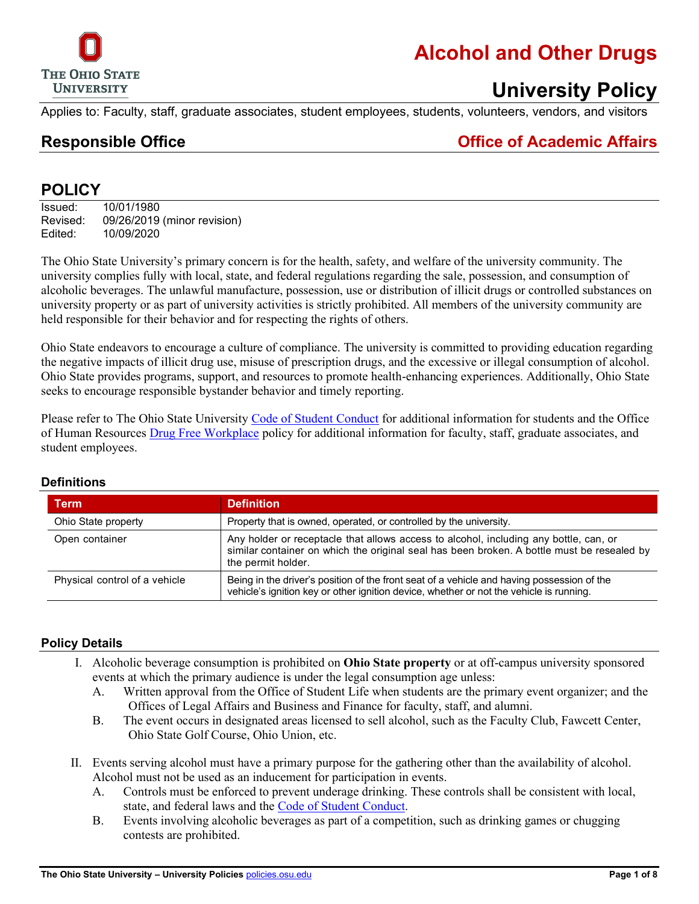

# **Alcohol and Other Drugs**

### **University Policy**

Applies to: Faculty, staff, graduate associates, student employees, students, volunteers, vendors, and visitors

**Responsible Office Office of Academic Affairs**

#### **POLICY**

Issued: 10/01/1980 Revised: 09/26/2019 (minor revision) Edited: 10/09/2020

The Ohio State University's primary concern is for the health, safety, and welfare of the university community. The university complies fully with local, state, and federal regulations regarding the sale, possession, and consumption of alcoholic beverages. The unlawful manufacture, possession, use or distribution of illicit drugs or controlled substances on university property or as part of university activities is strictly prohibited. All members of the university community are held responsible for their behavior and for respecting the rights of others.

Ohio State endeavors to encourage a culture of compliance. The university is committed to providing education regarding the negative impacts of illicit drug use, misuse of prescription drugs, and the excessive or illegal consumption of alcohol. Ohio State provides programs, support, and resources to promote health-enhancing experiences. Additionally, Ohio State seeks to encourage responsible bystander behavior and timely reporting.

Please refer to The Ohio State University [Code of Student Conduct](http://studentlife.osu.edu/csc/) for additional information for students and the Office of Human Resources [Drug Free Workplace](http://hr.osu.edu/policy/policy730.pdf) policy for additional information for faculty, staff, graduate associates, and student employees.

| Term                          | <b>Definition</b>                                                                                                                                                                                         |
|-------------------------------|-----------------------------------------------------------------------------------------------------------------------------------------------------------------------------------------------------------|
| Ohio State property           | Property that is owned, operated, or controlled by the university.                                                                                                                                        |
| Open container                | Any holder or receptacle that allows access to alcohol, including any bottle, can, or<br>similar container on which the original seal has been broken. A bottle must be resealed by<br>the permit holder. |
| Physical control of a vehicle | Being in the driver's position of the front seat of a vehicle and having possession of the<br>vehicle's ignition key or other ignition device, whether or not the vehicle is running.                     |

#### **Definitions**

#### **Policy Details**

- I. Alcoholic beverage consumption is prohibited on **Ohio State property** or at off-campus university sponsored events at which the primary audience is under the legal consumption age unless:
	- A. Written approval from the Office of Student Life when students are the primary event organizer; and the Offices of Legal Affairs and Business and Finance for faculty, staff, and alumni.
	- B. The event occurs in designated areas licensed to sell alcohol, such as the Faculty Club, Fawcett Center, Ohio State Golf Course, Ohio Union, etc.
- II. Events serving alcohol must have a primary purpose for the gathering other than the availability of alcohol. Alcohol must not be used as an inducement for participation in events.
	- A. Controls must be enforced to prevent underage drinking. These controls shall be consistent with local, state, and federal laws and the [Code of Student Conduct.](https://studentconduct.osu.edu/)
	- B. Events involving alcoholic beverages as part of a competition, such as drinking games or chugging contests are prohibited.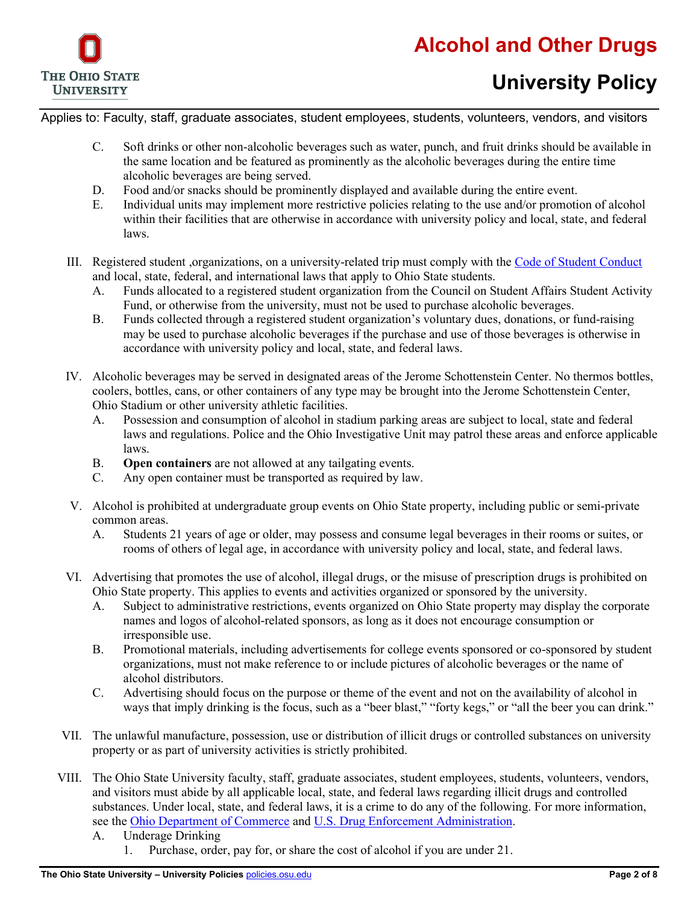

Applies to: Faculty, staff, graduate associates, student employees, students, volunteers, vendors, and visitors

- C. Soft drinks or other non-alcoholic beverages such as water, punch, and fruit drinks should be available in the same location and be featured as prominently as the alcoholic beverages during the entire time alcoholic beverages are being served.
- D. Food and/or snacks should be prominently displayed and available during the entire event.
- E. Individual units may implement more restrictive policies relating to the use and/or promotion of alcohol within their facilities that are otherwise in accordance with university policy and local, state, and federal laws.
- III. Registered student ,organizations, on a university-related trip must comply with the [Code of Student Conduct](https://studentconduct.osu.edu/) and local, state, federal, and international laws that apply to Ohio State students.
	- A. Funds allocated to a registered student organization from the Council on Student Affairs Student Activity Fund, or otherwise from the university, must not be used to purchase alcoholic beverages.
	- B. Funds collected through a registered student organization's voluntary dues, donations, or fund-raising may be used to purchase alcoholic beverages if the purchase and use of those beverages is otherwise in accordance with university policy and local, state, and federal laws.
- IV. Alcoholic beverages may be served in designated areas of the Jerome Schottenstein Center. No thermos bottles, coolers, bottles, cans, or other containers of any type may be brought into the Jerome Schottenstein Center, Ohio Stadium or other university athletic facilities.
	- A. Possession and consumption of alcohol in stadium parking areas are subject to local, state and federal laws and regulations. Police and the Ohio Investigative Unit may patrol these areas and enforce applicable laws.
	- B. **Open containers** are not allowed at any tailgating events.
	- C. Any open container must be transported as required by law.
- V. Alcohol is prohibited at undergraduate group events on Ohio State property, including public or semi-private common areas.
	- A. Students 21 years of age or older, may possess and consume legal beverages in their rooms or suites, or rooms of others of legal age, in accordance with university policy and local, state, and federal laws.
- VI. Advertising that promotes the use of alcohol, illegal drugs, or the misuse of prescription drugs is prohibited on Ohio State property. This applies to events and activities organized or sponsored by the university.
	- A. Subject to administrative restrictions, events organized on Ohio State property may display the corporate names and logos of alcohol-related sponsors, as long as it does not encourage consumption or irresponsible use.
	- B. Promotional materials, including advertisements for college events sponsored or co-sponsored by student organizations, must not make reference to or include pictures of alcoholic beverages or the name of alcohol distributors.
	- C. Advertising should focus on the purpose or theme of the event and not on the availability of alcohol in ways that imply drinking is the focus, such as a "beer blast," "forty kegs," or "all the beer you can drink."
- VII. The unlawful manufacture, possession, use or distribution of illicit drugs or controlled substances on university property or as part of university activities is strictly prohibited.
- VIII. The Ohio State University faculty, staff, graduate associates, student employees, students, volunteers, vendors, and visitors must abide by all applicable local, state, and federal laws regarding illicit drugs and controlled substances. Under local, state, and federal laws, it is a crime to do any of the following. For more information, see the [Ohio Department of Commerce](http://www.com.ohio.gov/liqr/) and [U.S. Drug Enforcement Administration.](http://www.justice.gov/dea/index.shtml)
	- A. Underage Drinking
		- 1. Purchase, order, pay for, or share the cost of alcohol if you are under 21.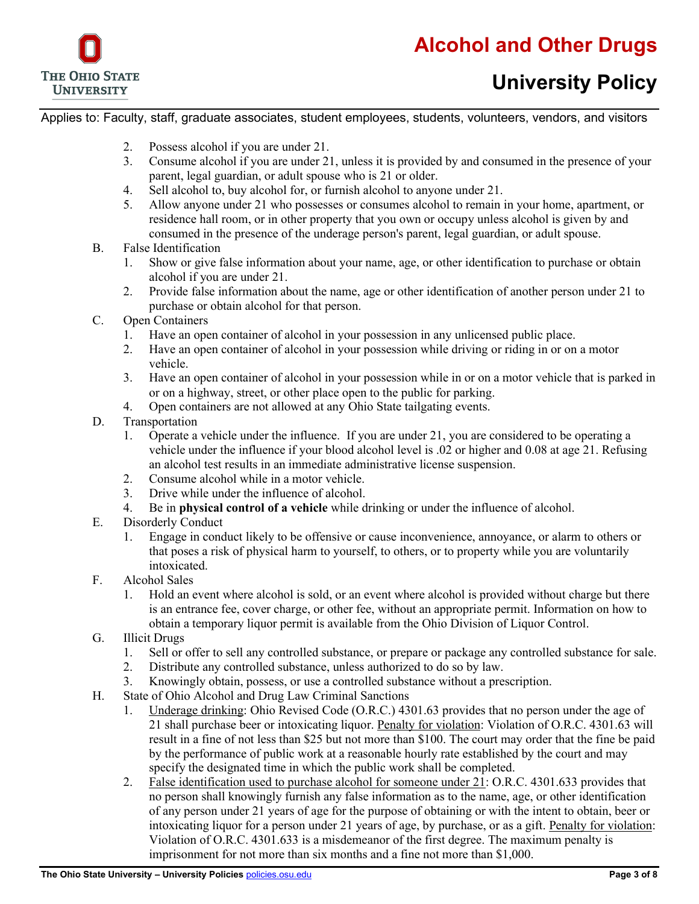

Applies to: Faculty, staff, graduate associates, student employees, students, volunteers, vendors, and visitors

- 2. Possess alcohol if you are under 21.
- 3. Consume alcohol if you are under 21, unless it is provided by and consumed in the presence of your parent, legal guardian, or adult spouse who is 21 or older.
- 4. Sell alcohol to, buy alcohol for, or furnish alcohol to anyone under 21.
- 5. Allow anyone under 21 who possesses or consumes alcohol to remain in your home, apartment, or residence hall room, or in other property that you own or occupy unless alcohol is given by and consumed in the presence of the underage person's parent, legal guardian, or adult spouse.
- B. False Identification
	- 1. Show or give false information about your name, age, or other identification to purchase or obtain alcohol if you are under 21.
	- 2. Provide false information about the name, age or other identification of another person under 21 to purchase or obtain alcohol for that person.
- C. Open Containers
	- 1. Have an open container of alcohol in your possession in any unlicensed public place.
	- 2. Have an open container of alcohol in your possession while driving or riding in or on a motor vehicle.
	- 3. Have an open container of alcohol in your possession while in or on a motor vehicle that is parked in or on a highway, street, or other place open to the public for parking.
	- 4. Open containers are not allowed at any Ohio State tailgating events.
- D. Transportation
	- 1. Operate a vehicle under the influence. If you are under 21, you are considered to be operating a vehicle under the influence if your blood alcohol level is .02 or higher and 0.08 at age 21. Refusing an alcohol test results in an immediate administrative license suspension.
	- 2. Consume alcohol while in a motor vehicle.
	- 3. Drive while under the influence of alcohol.
	- 4. Be in **physical control of a vehicle** while drinking or under the influence of alcohol.
- E. Disorderly Conduct
	- 1. Engage in conduct likely to be offensive or cause inconvenience, annoyance, or alarm to others or that poses a risk of physical harm to yourself, to others, or to property while you are voluntarily intoxicated.
- F. Alcohol Sales
	- 1. Hold an event where alcohol is sold, or an event where alcohol is provided without charge but there is an entrance fee, cover charge, or other fee, without an appropriate permit. Information on how to obtain a temporary liquor permit is available from the [Ohio Division of Liquor Control.](http://www.com.ohio.gov/liqr/)
- G. Illicit Drugs
	- 1. Sell or offer to sell any controlled substance, or prepare or package any controlled substance for sale.
	- 2. Distribute any controlled substance, unless authorized to do so by law.
	- 3. Knowingly obtain, possess, or use a controlled substance without a prescription.
- H. State of Ohio Alcohol and Drug Law Criminal Sanctions
	- 1. Underage drinking: Ohio Revised Code (O.R.C.) 4301.63 provides that no person under the age of 21 shall purchase beer or intoxicating liquor. Penalty for violation: Violation of O.R.C. 4301.63 will result in a fine of not less than \$25 but not more than \$100. The court may order that the fine be paid by the performance of public work at a reasonable hourly rate established by the court and may specify the designated time in which the public work shall be completed.
	- 2. False identification used to purchase alcohol for someone under 21: O.R.C. 4301.633 provides that no person shall knowingly furnish any false information as to the name, age, or other identification of any person under 21 years of age for the purpose of obtaining or with the intent to obtain, beer or intoxicating liquor for a person under 21 years of age, by purchase, or as a gift. Penalty for violation: Violation of O.R.C. 4301.633 is a misdemeanor of the first degree. The maximum penalty is imprisonment for not more than six months and a fine not more than \$1,000.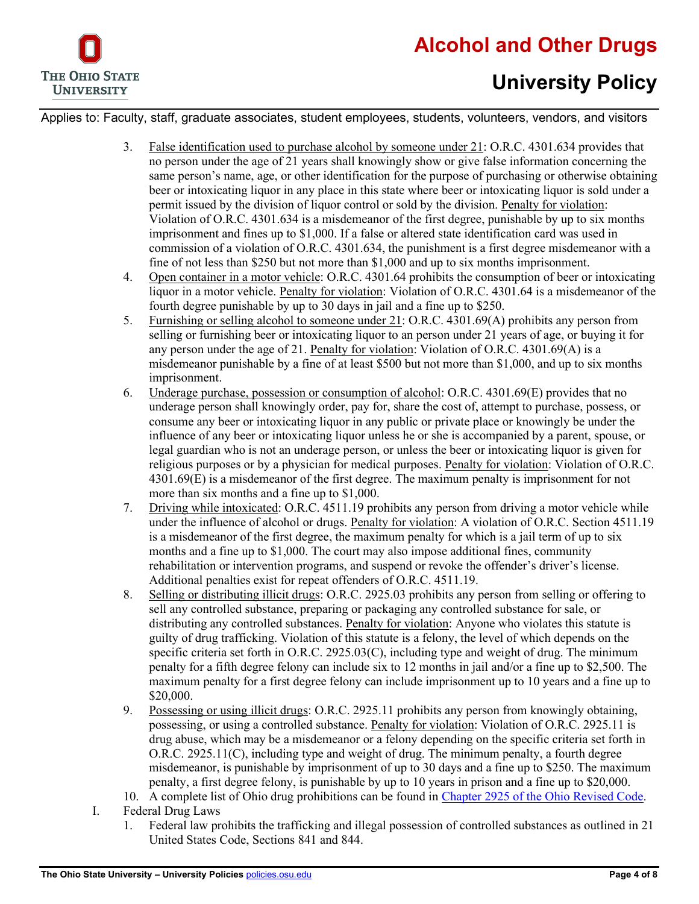

Applies to: Faculty, staff, graduate associates, student employees, students, volunteers, vendors, and visitors

- 3. False identification used to purchase alcohol by someone under 21: O.R.C. 4301.634 provides that no person under the age of 21 years shall knowingly show or give false information concerning the same person's name, age, or other identification for the purpose of purchasing or otherwise obtaining beer or intoxicating liquor in any place in this state where beer or intoxicating liquor is sold under a permit issued by the division of liquor control or sold by the division. Penalty for violation: Violation of O.R.C. 4301.634 is a misdemeanor of the first degree, punishable by up to six months imprisonment and fines up to \$1,000. If a false or altered state identification card was used in commission of a violation of O.R.C. 4301.634, the punishment is a first degree misdemeanor with a fine of not less than \$250 but not more than \$1,000 and up to six months imprisonment.
- 4. Open container in a motor vehicle: O.R.C. 4301.64 prohibits the consumption of beer or intoxicating liquor in a motor vehicle. Penalty for violation: Violation of O.R.C. 4301.64 is a misdemeanor of the fourth degree punishable by up to 30 days in jail and a fine up to \$250.
- 5. Furnishing or selling alcohol to someone under 21: O.R.C. 4301.69(A) prohibits any person from selling or furnishing beer or intoxicating liquor to an person under 21 years of age, or buying it for any person under the age of 21. Penalty for violation: Violation of O.R.C. 4301.69(A) is a misdemeanor punishable by a fine of at least \$500 but not more than \$1,000, and up to six months imprisonment.
- 6. Underage purchase, possession or consumption of alcohol: O.R.C. 4301.69(E) provides that no underage person shall knowingly order, pay for, share the cost of, attempt to purchase, possess, or consume any beer or intoxicating liquor in any public or private place or knowingly be under the influence of any beer or intoxicating liquor unless he or she is accompanied by a parent, spouse, or legal guardian who is not an underage person, or unless the beer or intoxicating liquor is given for religious purposes or by a physician for medical purposes. Penalty for violation: Violation of O.R.C. 4301.69(E) is a misdemeanor of the first degree. The maximum penalty is imprisonment for not more than six months and a fine up to \$1,000.
- 7. Driving while intoxicated: O.R.C. 4511.19 prohibits any person from driving a motor vehicle while under the influence of alcohol or drugs. Penalty for violation: A violation of O.R.C. Section 4511.19 is a misdemeanor of the first degree, the maximum penalty for which is a jail term of up to six months and a fine up to \$1,000. The court may also impose additional fines, community rehabilitation or intervention programs, and suspend or revoke the offender's driver's license. Additional penalties exist for repeat offenders of O.R.C. 4511.19.
- 8. Selling or distributing illicit drugs: O.R.C. 2925.03 prohibits any person from selling or offering to sell any controlled substance, preparing or packaging any controlled substance for sale, or distributing any controlled substances. Penalty for violation: Anyone who violates this statute is guilty of drug trafficking. Violation of this statute is a felony, the level of which depends on the specific criteria set forth in O.R.C. 2925.03(C), including type and weight of drug. The minimum penalty for a fifth degree felony can include six to 12 months in jail and/or a fine up to \$2,500. The maximum penalty for a first degree felony can include imprisonment up to 10 years and a fine up to \$20,000.
- 9. Possessing or using illicit drugs: O.R.C. 2925.11 prohibits any person from knowingly obtaining, possessing, or using a controlled substance. Penalty for violation: Violation of O.R.C. 2925.11 is drug abuse, which may be a misdemeanor or a felony depending on the specific criteria set forth in O.R.C. 2925.11(C), including type and weight of drug. The minimum penalty, a fourth degree misdemeanor, is punishable by imprisonment of up to 30 days and a fine up to \$250. The maximum penalty, a first degree felony, is punishable by up to 10 years in prison and a fine up to \$20,000.
- 10. A complete list of Ohio drug prohibitions can be found in [Chapter 2925 of the Ohio Revised Code.](http://codes.ohio.gov/orc/2925)
- I. Federal Drug Laws
	- 1. Federal law prohibits the trafficking and illegal possession of controlled substances as outlined in 21 United States Code, Sections 841 and 844.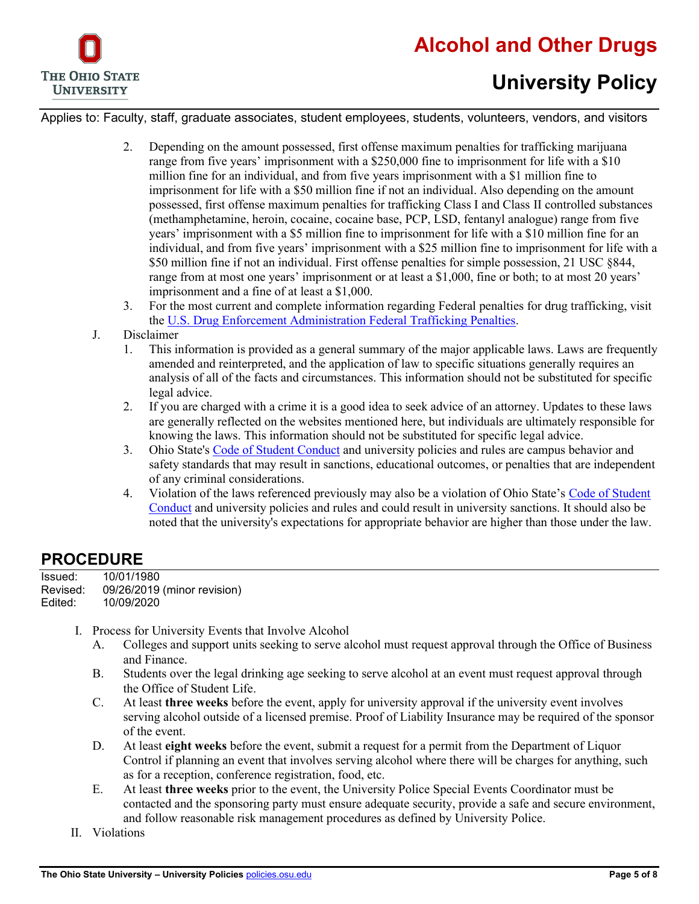

Applies to: Faculty, staff, graduate associates, student employees, students, volunteers, vendors, and visitors

- 2. Depending on the amount possessed, first offense maximum penalties for trafficking marijuana range from five years' imprisonment with a \$250,000 fine to imprisonment for life with a \$10 million fine for an individual, and from five years imprisonment with a \$1 million fine to imprisonment for life with a \$50 million fine if not an individual. Also depending on the amount possessed, first offense maximum penalties for trafficking Class I and Class II controlled substances (methamphetamine, heroin, cocaine, cocaine base, PCP, LSD, fentanyl analogue) range from five years' imprisonment with a \$5 million fine to imprisonment for life with a \$10 million fine for an individual, and from five years' imprisonment with a \$25 million fine to imprisonment for life with a \$50 million fine if not an individual. First offense penalties for simple possession, 21 USC §844, range from at most one years' imprisonment or at least a \$1,000, fine or both; to at most 20 years' imprisonment and a fine of at least a \$1,000.
- 3. For the most current and complete information regarding Federal penalties for drug trafficking, visit th[e U.S. Drug Enforcement Administration Federal Trafficking Penalties.](http://www.justice.gov/dea/druginfo/ftp3.shtml)
- J. Disclaimer
	- 1. This information is provided as a general summary of the major applicable laws. Laws are frequently amended and reinterpreted, and the application of law to specific situations generally requires an analysis of all of the facts and circumstances. This information should not be substituted for specific legal advice.
	- 2. If you are charged with a crime it is a good idea to seek advice of an attorney. Updates to these laws are generally reflected on the websites mentioned here, but individuals are ultimately responsible for knowing the laws. This information should not be substituted for specific legal advice.
	- 3. Ohio State's [Code of Student Conduct](https://studentconduct.osu.edu/) and university policies and rules are campus behavior and safety standards that may result in sanctions, educational outcomes, or penalties that are independent of any criminal considerations.
	- 4. Violation of the laws referenced previously may also be a violation of Ohio State's [Code of Student](https://studentconduct.osu.edu/)  [Conduct](https://studentconduct.osu.edu/) and university policies and rules and could result in university sanctions. It should also be noted that the university's expectations for appropriate behavior are higher than those under the law.

#### **PROCEDURE**

| Issued:  | 10/01/1980                  |
|----------|-----------------------------|
| Revised: | 09/26/2019 (minor revision) |
| Edited:  | 10/09/2020                  |

- I. Process for University Events that Involve Alcohol
	- A. Colleges and support units seeking to serve alcohol must request approval through the Office of Business and Finance.
	- B. Students over the legal drinking age seeking to serve alcohol at an event must request approval through the Office of Student Life.
	- C. At least **three weeks** before the event, apply for university approval if the university event involves serving alcohol outside of a licensed premise. Proof of Liability Insurance may be required of the sponsor of the event.
	- D. At least **eight weeks** before the event, submit a request for a permit from the Department of Liquor Control if planning an event that involves serving alcohol where there will be charges for anything, such as for a reception, conference registration, food, etc.
	- E. At least **three weeks** prior to the event, the University Police Special Events Coordinator must be contacted and the sponsoring party must ensure adequate security, provide a safe and secure environment, and follow reasonable risk management procedures as defined by University Police.
- II. Violations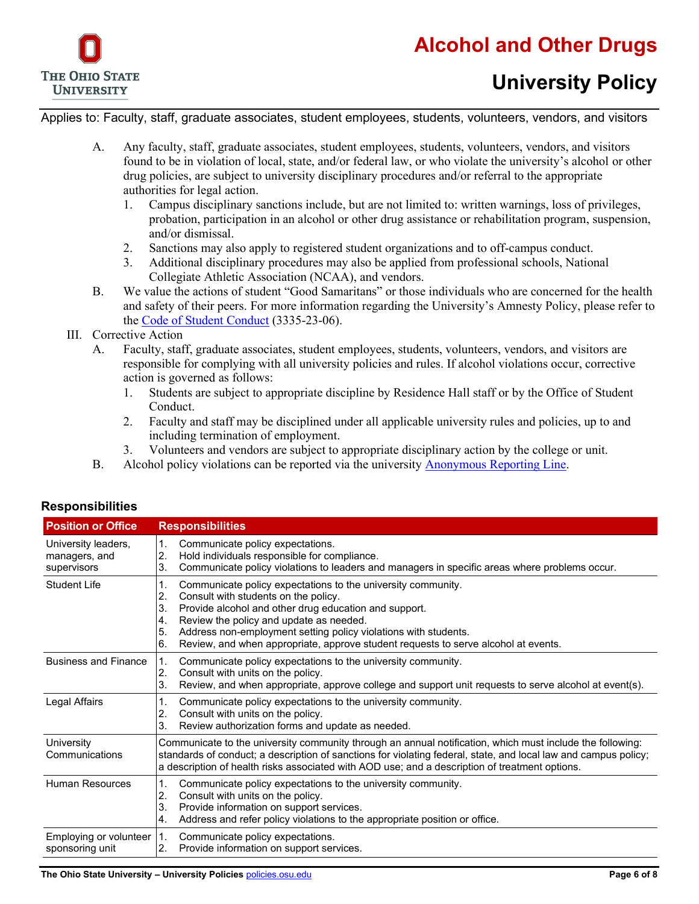

Applies to: Faculty, staff, graduate associates, student employees, students, volunteers, vendors, and visitors

- A. Any faculty, staff, graduate associates, student employees, students, volunteers, vendors, and visitors found to be in violation of local, state, and/or federal law, or who violate the university's alcohol or other drug policies, are subject to university disciplinary procedures and/or referral to the appropriate authorities for legal action.
	- 1. Campus disciplinary sanctions include, but are not limited to: written warnings, loss of privileges, probation, participation in an alcohol or other drug assistance or rehabilitation program, suspension, and/or dismissal.
	- 2. Sanctions may also apply to registered student organizations and to off-campus conduct.
	- 3. Additional disciplinary procedures may also be applied from professional schools, National Collegiate Athletic Association (NCAA), and vendors.
- B. We value the actions of student "Good Samaritans" or those individuals who are concerned for the health and safety of their peers. For more information regarding the University's Amnesty Policy, please refer to the [Code of Student Conduct](https://studentconduct.osu.edu/) (3335-23-06).
- III. Corrective Action
	- A. Faculty, staff, graduate associates, student employees, students, volunteers, vendors, and visitors are responsible for complying with all university policies and rules. If alcohol violations occur, corrective action is governed as follows:
		- 1. Students are subject to appropriate discipline by Residence Hall staff or by the Office of Student Conduct.
		- 2. Faculty and staff may be disciplined under all applicable university rules and policies, up to and including termination of employment.
		- 3. Volunteers and vendors are subject to appropriate disciplinary action by the college or unit.
	- B. Alcohol policy violations can be reported via the university **Anonymous Reporting Line**.

| <b>Position or Office</b>                           | <b>Responsibilities</b>                                                                                                                                                                                                                                                                                                                                                                               |
|-----------------------------------------------------|-------------------------------------------------------------------------------------------------------------------------------------------------------------------------------------------------------------------------------------------------------------------------------------------------------------------------------------------------------------------------------------------------------|
| University leaders,<br>managers, and<br>supervisors | Communicate policy expectations.<br>1.<br>2.<br>Hold individuals responsible for compliance.<br>Communicate policy violations to leaders and managers in specific areas where problems occur.<br>3.                                                                                                                                                                                                   |
| Student Life                                        | 1.<br>Communicate policy expectations to the university community.<br>2.<br>Consult with students on the policy.<br>Provide alcohol and other drug education and support.<br>3.<br>Review the policy and update as needed.<br>4.<br>Address non-employment setting policy violations with students.<br>5.<br>Review, and when appropriate, approve student requests to serve alcohol at events.<br>6. |
| <b>Business and Finance</b>                         | $\mathbf{1}$ .<br>Communicate policy expectations to the university community.<br>Consult with units on the policy.<br>2.<br>3.<br>Review, and when appropriate, approve college and support unit requests to serve alcohol at event(s).                                                                                                                                                              |
| Legal Affairs                                       | 1.<br>Communicate policy expectations to the university community.<br>2.<br>Consult with units on the policy.<br>Review authorization forms and update as needed.<br>3.                                                                                                                                                                                                                               |
| University<br>Communications                        | Communicate to the university community through an annual notification, which must include the following:<br>standards of conduct; a description of sanctions for violating federal, state, and local law and campus policy;<br>a description of health risks associated with AOD use; and a description of treatment options.                                                                        |
| Human Resources                                     | Communicate policy expectations to the university community.<br>1.<br>Consult with units on the policy.<br>2.<br>Provide information on support services.<br>3.<br>Address and refer policy violations to the appropriate position or office.<br>4.                                                                                                                                                   |
| Employing or volunteer<br>sponsoring unit           | I1.<br>Communicate policy expectations.<br>Provide information on support services.<br>$\overline{2}$ .                                                                                                                                                                                                                                                                                               |

#### **Responsibilities**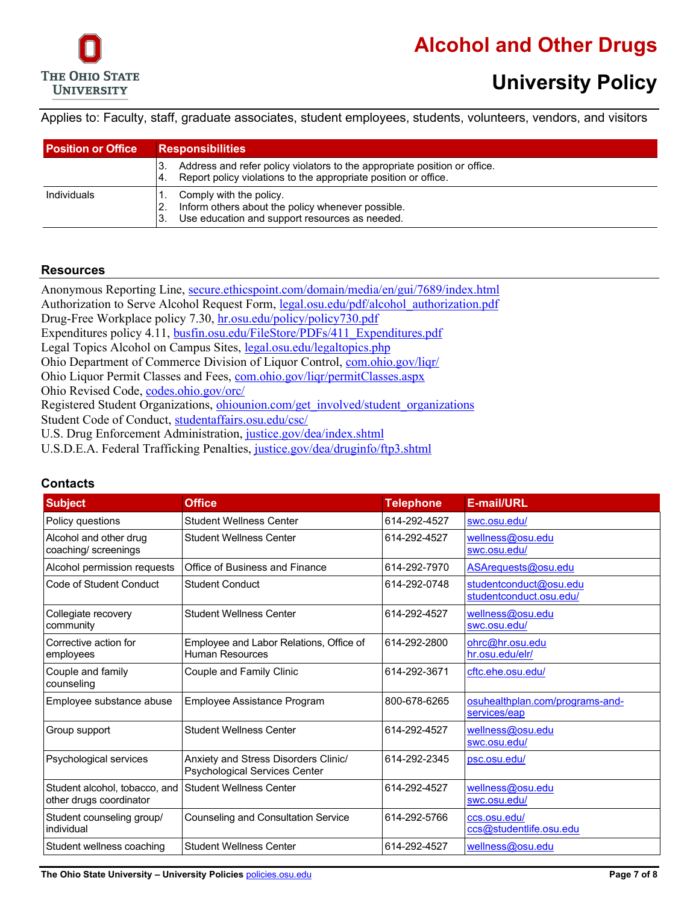

Applies to: Faculty, staff, graduate associates, student employees, students, volunteers, vendors, and visitors

| <b>Position or Office</b> | <b>Responsibilities</b>                                                                                                                            |
|---------------------------|----------------------------------------------------------------------------------------------------------------------------------------------------|
|                           | Address and refer policy violators to the appropriate position or office.<br>3.<br>Report policy violations to the appropriate position or office. |
| <b>Individuals</b>        | Comply with the policy.<br>Inform others about the policy whenever possible.<br>Use education and support resources as needed.                     |

#### **Resources**

Anonymous Reporting Line, [secure.ethicspoint.com/domain/media/en/gui/7689/index.html](https://secure.ethicspoint.com/domain/media/en/gui/7689/index.html) Authorization to Serve Alcohol Request Form, [legal.osu.edu/pdf/alcohol\\_authorization.pdf](http://legal.osu.edu/pdf/alcohol_authorization.pdf) Drug-Free Workplace policy 7.30, [hr.osu.edu/policy/policy730.pdf](http://hr.osu.edu/policy/policy730.pdf) Expenditures policy 4.11, [busfin.osu.edu/FileStore/PDFs/411\\_Expenditures.pdf](http://www.busfin.osu.edu/FileStore/PDFs/411_Expenditures.pdf) Legal Topics Alcohol on Campus Sites, [legal.osu.edu/legaltopics.php](http://legal.osu.edu/legaltopics.php) Ohio Department of Commerce Division of Liquor Control[, com.ohio.gov/liqr/](http://www.com.ohio.gov/liqr/) Ohio Liquor Permit Classes and Fees, [com.ohio.gov/liqr/permitClasses.aspx](http://www.com.ohio.gov/liqr/permitClasses.aspx) Ohio Revised Code, [codes.ohio.gov/orc/](http://codes.ohio.gov/orc/) Registered Student Organizations, [ohiounion.com/get\\_involved/student\\_organizations](http://ohiounion.com/get_involved/student_organizations) Student Code of Conduct, [studentaffairs.osu.edu/csc/](http://studentaffairs.osu.edu/csc/) U.S. Drug Enforcement Administration, [justice.gov/dea/index.shtml](http://www.justice.gov/dea/index.shtml)

U.S.D.E.A. Federal Trafficking Penalties, [justice.gov/dea/druginfo/ftp3.shtml](http://www.justice.gov/dea/druginfo/ftp3.shtml)

| <b>Subject</b>                                           | <b>Office</b>                                                         | <b>Telephone</b> | <b>E-mail/URL</b>                                 |
|----------------------------------------------------------|-----------------------------------------------------------------------|------------------|---------------------------------------------------|
| Policy questions                                         | <b>Student Wellness Center</b>                                        | 614-292-4527     | swc.osu.edu/                                      |
| Alcohol and other drug<br>coaching/ screenings           | <b>Student Wellness Center</b>                                        | 614-292-4527     | wellness@osu.edu<br>swc.osu.edu/                  |
| Alcohol permission requests                              | Office of Business and Finance                                        | 614-292-7970     | ASArequests@osu.edu                               |
| Code of Student Conduct                                  | <b>Student Conduct</b>                                                | 614-292-0748     | studentconduct@osu.edu<br>studentconduct.osu.edu/ |
| Collegiate recovery<br>community                         | <b>Student Wellness Center</b>                                        | 614-292-4527     | wellness@osu.edu<br>swc.osu.edu/                  |
| Corrective action for<br>employees                       | Employee and Labor Relations, Office of<br><b>Human Resources</b>     | 614-292-2800     | ohrc@hr.osu.edu<br>hr.osu.edu/elr/                |
| Couple and family<br>counseling                          | Couple and Family Clinic                                              | 614-292-3671     | cftc.ehe.osu.edu/                                 |
| Employee substance abuse                                 | Employee Assistance Program                                           | 800-678-6265     | osuhealthplan.com/programs-and-<br>services/eap   |
| Group support                                            | <b>Student Wellness Center</b>                                        | 614-292-4527     | wellness@osu.edu<br>swc.osu.edu/                  |
| Psychological services                                   | Anxiety and Stress Disorders Clinic/<br>Psychological Services Center | 614-292-2345     | psc.osu.edu/                                      |
| Student alcohol, tobacco, and<br>other drugs coordinator | Student Wellness Center                                               | 614-292-4527     | wellness@osu.edu<br>swc.osu.edu/                  |
| Student counseling group/<br>individual                  | <b>Counseling and Consultation Service</b>                            | 614-292-5766     | ccs.osu.edu/<br>ccs@studentlife.osu.edu           |
| Student wellness coaching                                | <b>Student Wellness Center</b>                                        | 614-292-4527     | wellness@osu.edu                                  |

#### **Contacts**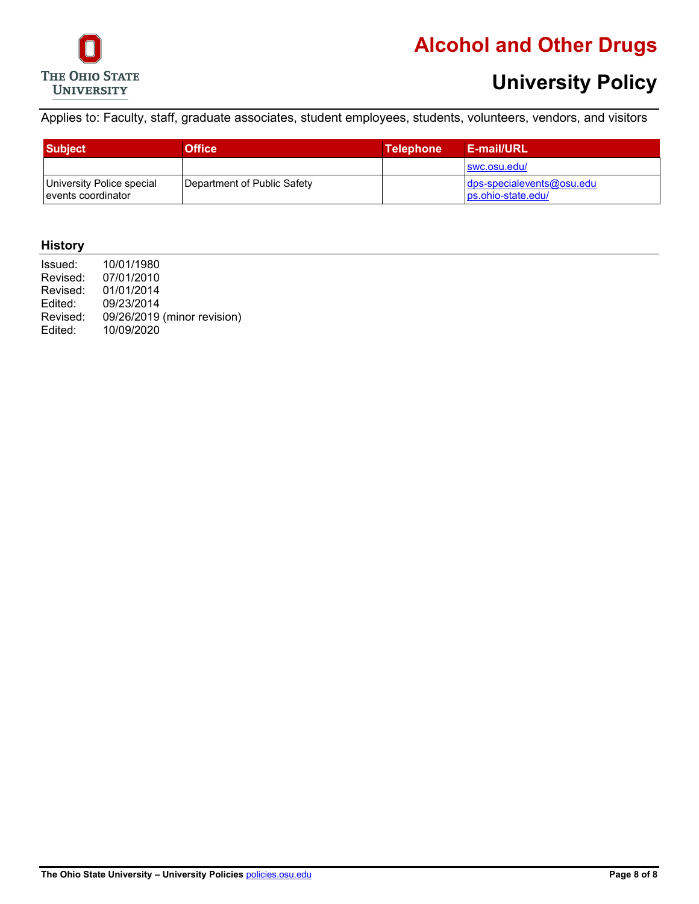

# **Alcohol and Other Drugs**

# **University Policy**

Applies to: Faculty, staff, graduate associates, student employees, students, volunteers, vendors, and visitors

| <b>Subject</b>                                   | Office                      | <b>Telephone</b> | <b>E-mail/URL</b>                                    |
|--------------------------------------------------|-----------------------------|------------------|------------------------------------------------------|
|                                                  |                             |                  | swc.osu.edu/                                         |
| University Police special<br>levents coordinator | Department of Public Safety |                  | $\log$ -specialevents@osu.edu<br>los.ohio-state.edu/ |

#### **History**

| Issued:  | 10/01/1980                  |
|----------|-----------------------------|
| Revised: | 07/01/2010                  |
| Revised: | 01/01/2014                  |
| Edited:  | 09/23/2014                  |
| Revised: | 09/26/2019 (minor revision) |
| Edited:  | 10/09/2020                  |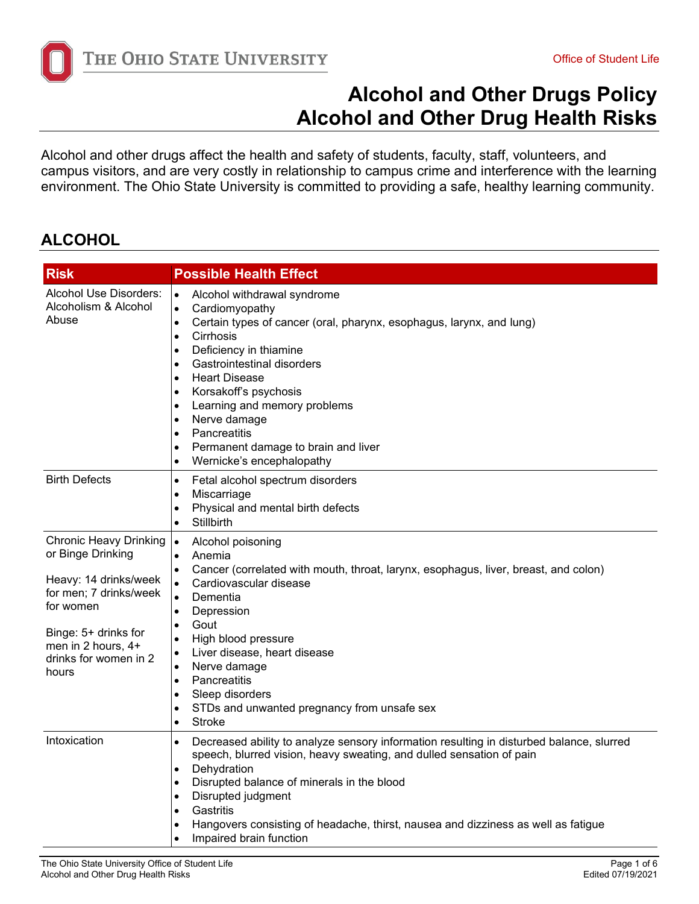

Alcohol and other drugs affect the health and safety of students, faculty, staff, volunteers, and campus visitors, and are very costly in relationship to campus crime and interference with the learning environment. The Ohio State University is committed to providing a safe, healthy learning community.

#### **ALCOHOL**

| <b>Risk</b>                                                                                                                                                                                        | <b>Possible Health Effect</b>                                                                                                                                                                                                                                                                                                                                                                                                                                                                                                                  |
|----------------------------------------------------------------------------------------------------------------------------------------------------------------------------------------------------|------------------------------------------------------------------------------------------------------------------------------------------------------------------------------------------------------------------------------------------------------------------------------------------------------------------------------------------------------------------------------------------------------------------------------------------------------------------------------------------------------------------------------------------------|
| Alcohol Use Disorders:<br>Alcoholism & Alcohol<br>Abuse                                                                                                                                            | Alcohol withdrawal syndrome<br>$\bullet$<br>Cardiomyopathy<br>$\bullet$<br>Certain types of cancer (oral, pharynx, esophagus, larynx, and lung)<br>$\bullet$<br>Cirrhosis<br>$\bullet$<br>Deficiency in thiamine<br>$\bullet$<br>Gastrointestinal disorders<br>$\bullet$<br><b>Heart Disease</b><br>$\bullet$<br>Korsakoff's psychosis<br>٠<br>Learning and memory problems<br>$\bullet$<br>Nerve damage<br>$\bullet$<br>Pancreatitis<br>$\bullet$<br>Permanent damage to brain and liver<br>٠<br>Wernicke's encephalopathy<br>$\bullet$       |
| <b>Birth Defects</b>                                                                                                                                                                               | Fetal alcohol spectrum disorders<br>$\bullet$<br>Miscarriage<br>$\bullet$<br>Physical and mental birth defects<br>$\bullet$<br><b>Stillbirth</b><br>$\bullet$                                                                                                                                                                                                                                                                                                                                                                                  |
| <b>Chronic Heavy Drinking</b><br>or Binge Drinking<br>Heavy: 14 drinks/week<br>for men; 7 drinks/week<br>for women<br>Binge: 5+ drinks for<br>men in 2 hours, 4+<br>drinks for women in 2<br>hours | Alcohol poisoning<br>$\bullet$<br>Anemia<br>$\bullet$<br>Cancer (correlated with mouth, throat, larynx, esophagus, liver, breast, and colon)<br>$\bullet$<br>Cardiovascular disease<br>$\bullet$<br>Dementia<br>$\bullet$<br>Depression<br>$\bullet$<br>Gout<br>$\bullet$<br>High blood pressure<br>$\bullet$<br>Liver disease, heart disease<br>$\bullet$<br>Nerve damage<br>$\bullet$<br>Pancreatitis<br>$\bullet$<br>Sleep disorders<br>$\bullet$<br>STDs and unwanted pregnancy from unsafe sex<br>$\bullet$<br><b>Stroke</b><br>$\bullet$ |
| Intoxication                                                                                                                                                                                       | Decreased ability to analyze sensory information resulting in disturbed balance, slurred<br>$\bullet$<br>speech, blurred vision, heavy sweating, and dulled sensation of pain<br>Dehydration<br>$\bullet$<br>Disrupted balance of minerals in the blood<br>$\bullet$<br>Disrupted judgment<br>$\bullet$<br>Gastritis<br>$\bullet$<br>Hangovers consisting of headache, thirst, nausea and dizziness as well as fatigue<br>٠<br>Impaired brain function                                                                                         |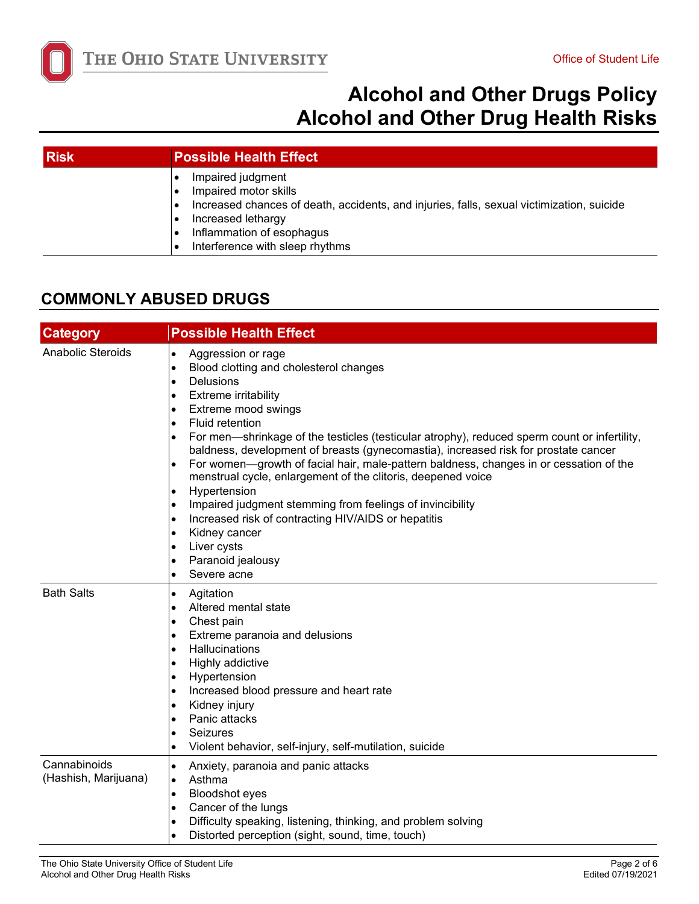

| <b>Risk</b> | <b>Possible Health Effect</b>                                                                                                                                                                                                 |
|-------------|-------------------------------------------------------------------------------------------------------------------------------------------------------------------------------------------------------------------------------|
|             | Impaired judgment<br>Impaired motor skills<br>Increased chances of death, accidents, and injuries, falls, sexual victimization, suicide<br>Increased lethargy<br>Inflammation of esophagus<br>Interference with sleep rhythms |

#### **COMMONLY ABUSED DRUGS**

| <b>Category</b>                      | <b>Possible Health Effect</b>                                                                                                                                                                                                                                                                                                                                                                                                                                                                                                                                                                                                                                                                                                                                                                                                                                                                          |
|--------------------------------------|--------------------------------------------------------------------------------------------------------------------------------------------------------------------------------------------------------------------------------------------------------------------------------------------------------------------------------------------------------------------------------------------------------------------------------------------------------------------------------------------------------------------------------------------------------------------------------------------------------------------------------------------------------------------------------------------------------------------------------------------------------------------------------------------------------------------------------------------------------------------------------------------------------|
| <b>Anabolic Steroids</b>             | Aggression or rage<br>$\bullet$<br>Blood clotting and cholesterol changes<br>$\bullet$<br><b>Delusions</b><br>$\bullet$<br>Extreme irritability<br>$\bullet$<br>Extreme mood swings<br>$\bullet$<br>Fluid retention<br>$\bullet$<br>For men—shrinkage of the testicles (testicular atrophy), reduced sperm count or infertility,<br>$\bullet$<br>baldness, development of breasts (gynecomastia), increased risk for prostate cancer<br>For women—growth of facial hair, male-pattern baldness, changes in or cessation of the<br>$\bullet$<br>menstrual cycle, enlargement of the clitoris, deepened voice<br>Hypertension<br>$\bullet$<br>Impaired judgment stemming from feelings of invincibility<br>$\bullet$<br>Increased risk of contracting HIV/AIDS or hepatitis<br>$\bullet$<br>Kidney cancer<br>$\bullet$<br>Liver cysts<br>$\bullet$<br>Paranoid jealousy<br>٠<br>Severe acne<br>$\bullet$ |
| <b>Bath Salts</b>                    | Agitation<br>$\bullet$<br>Altered mental state<br>$\bullet$<br>Chest pain<br>$\bullet$<br>Extreme paranoia and delusions<br>$\bullet$<br>Hallucinations<br>$\bullet$<br>Highly addictive<br>$\bullet$<br>Hypertension<br>$\bullet$<br>Increased blood pressure and heart rate<br>$\bullet$<br>Kidney injury<br>$\bullet$<br>Panic attacks<br>$\bullet$<br>Seizures<br>٠<br>Violent behavior, self-injury, self-mutilation, suicide<br>$\bullet$                                                                                                                                                                                                                                                                                                                                                                                                                                                        |
| Cannabinoids<br>(Hashish, Marijuana) | Anxiety, paranoia and panic attacks<br>$\bullet$<br>Asthma<br>$\bullet$<br><b>Bloodshot eyes</b><br>$\bullet$<br>Cancer of the lungs<br>$\bullet$<br>Difficulty speaking, listening, thinking, and problem solving<br>$\bullet$<br>Distorted perception (sight, sound, time, touch)<br>$\bullet$                                                                                                                                                                                                                                                                                                                                                                                                                                                                                                                                                                                                       |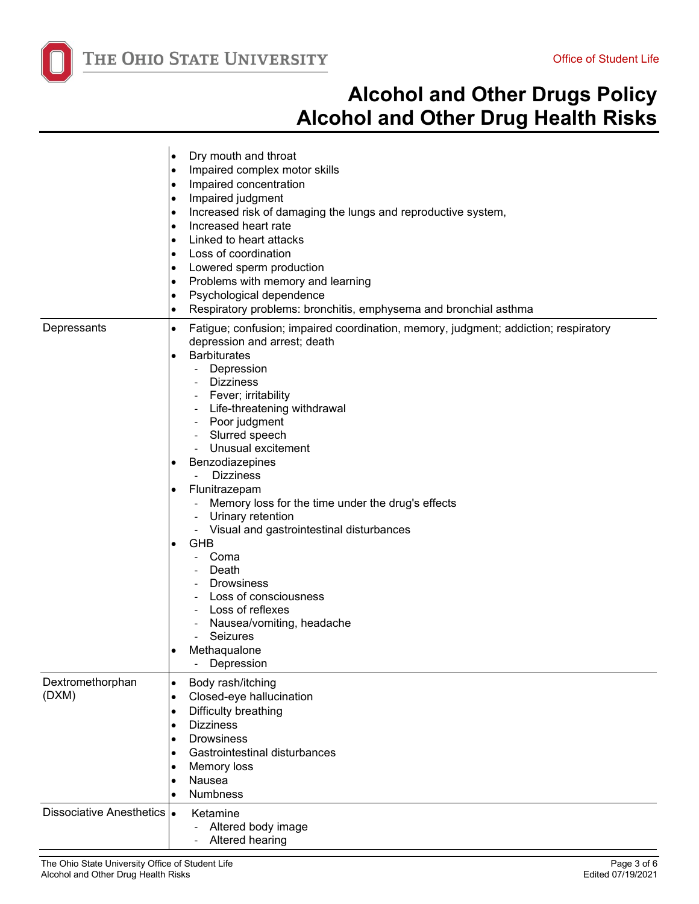

|                             | Dry mouth and throat<br>$\bullet$                                                        |
|-----------------------------|------------------------------------------------------------------------------------------|
|                             | Impaired complex motor skills<br>٠                                                       |
|                             | Impaired concentration<br>٠                                                              |
|                             | Impaired judgment<br>$\bullet$                                                           |
|                             | Increased risk of damaging the lungs and reproductive system,<br>$\bullet$               |
|                             | Increased heart rate<br>$\bullet$                                                        |
|                             | Linked to heart attacks<br>$\bullet$                                                     |
|                             | Loss of coordination<br>٠                                                                |
|                             | Lowered sperm production<br>٠                                                            |
|                             | Problems with memory and learning<br>٠                                                   |
|                             | Psychological dependence<br>٠                                                            |
|                             | Respiratory problems: bronchitis, emphysema and bronchial asthma                         |
|                             | ٠                                                                                        |
| Depressants                 | Fatigue; confusion; impaired coordination, memory, judgment; addiction; respiratory<br>٠ |
|                             | depression and arrest; death                                                             |
|                             | <b>Barbiturates</b>                                                                      |
|                             | Depression                                                                               |
|                             | <b>Dizziness</b>                                                                         |
|                             | Fever; irritability                                                                      |
|                             | - Life-threatening withdrawal                                                            |
|                             | Poor judgment                                                                            |
|                             | Slurred speech                                                                           |
|                             | Unusual excitement                                                                       |
|                             | Benzodiazepines                                                                          |
|                             | <b>Dizziness</b>                                                                         |
|                             | Flunitrazepam                                                                            |
|                             | Memory loss for the time under the drug's effects                                        |
|                             | Urinary retention                                                                        |
|                             | Visual and gastrointestinal disturbances                                                 |
|                             | <b>GHB</b>                                                                               |
|                             | Coma                                                                                     |
|                             | Death                                                                                    |
|                             | <b>Drowsiness</b>                                                                        |
|                             | Loss of consciousness                                                                    |
|                             | Loss of reflexes                                                                         |
|                             | - Nausea/vomiting, headache                                                              |
|                             | Seizures                                                                                 |
|                             | Methaqualone                                                                             |
|                             | Depression                                                                               |
| Dextromethorphan            | Body rash/itching<br>$\bullet$                                                           |
| (DXM)                       | Closed-eye hallucination<br>$\bullet$                                                    |
|                             | Difficulty breathing<br>٠                                                                |
|                             | <b>Dizziness</b>                                                                         |
|                             | <b>Drowsiness</b>                                                                        |
|                             | Gastrointestinal disturbances                                                            |
|                             | Memory loss                                                                              |
|                             | Nausea                                                                                   |
|                             |                                                                                          |
|                             | <b>Numbness</b>                                                                          |
| Dissociative Anesthetics  . | Ketamine                                                                                 |
|                             | Altered body image<br>$\overline{\phantom{0}}$                                           |
|                             | Altered hearing                                                                          |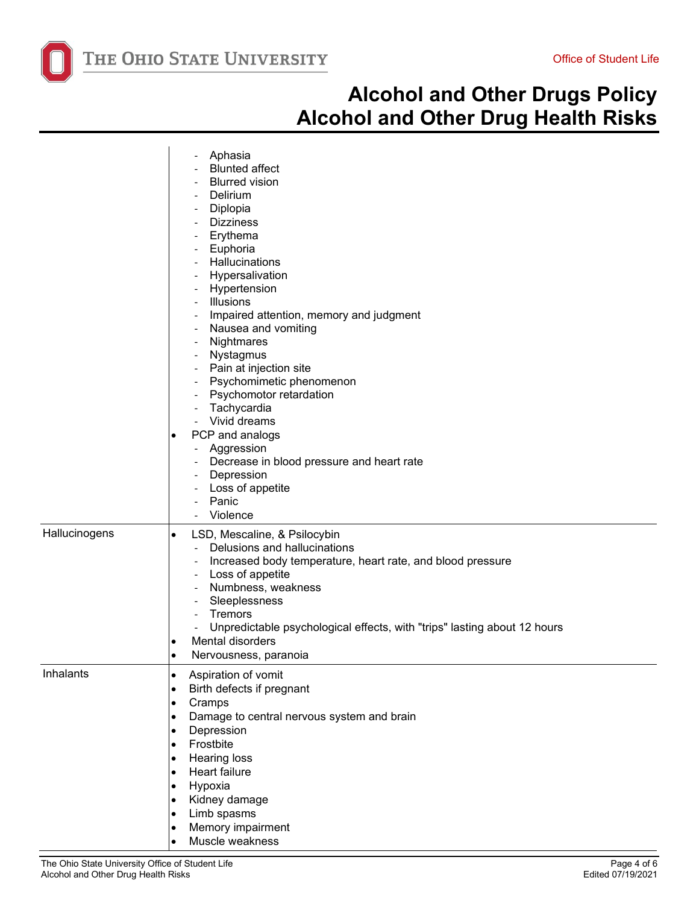

|               | Aphasia<br><b>Blunted affect</b><br><b>Blurred vision</b><br>Delirium<br>Diplopia<br><b>Dizziness</b><br>Erythema<br>Euphoria<br>Hallucinations<br>Hypersalivation<br>Hypertension<br>- Illusions<br>Impaired attention, memory and judgment<br>Nausea and vomiting<br>$\overline{\phantom{a}}$<br>Nightmares<br>$\overline{\phantom{a}}$<br>Nystagmus<br>Pain at injection site<br>Psychomimetic phenomenon<br>Psychomotor retardation<br>Tachycardia<br>Vivid dreams<br>PCP and analogs<br>٠<br>Aggression<br>Decrease in blood pressure and heart rate<br>Depression<br>Loss of appetite<br>$\overline{\phantom{a}}$<br>Panic<br>Violence |
|---------------|----------------------------------------------------------------------------------------------------------------------------------------------------------------------------------------------------------------------------------------------------------------------------------------------------------------------------------------------------------------------------------------------------------------------------------------------------------------------------------------------------------------------------------------------------------------------------------------------------------------------------------------------|
| Hallucinogens | LSD, Mescaline, & Psilocybin<br>$\bullet$<br>Delusions and hallucinations<br>$\sim$<br>Increased body temperature, heart rate, and blood pressure<br>$\overline{\phantom{a}}$<br>Loss of appetite<br>Numbness, weakness<br>Sleeplessness<br>Tremors<br>Unpredictable psychological effects, with "trips" lasting about 12 hours<br>Mental disorders<br>٠<br>Nervousness, paranoia                                                                                                                                                                                                                                                            |
| Inhalants     | Aspiration of vomit<br>$\bullet$<br>Birth defects if pregnant<br>$\bullet$<br>Cramps<br>$\bullet$<br>Damage to central nervous system and brain<br>٠<br>Depression<br>$\bullet$<br>Frostbite<br>$\bullet$<br><b>Hearing loss</b><br>٠<br>Heart failure<br>$\bullet$<br>Hypoxia<br>$\bullet$<br>Kidney damage<br>$\bullet$<br>Limb spasms<br>$\bullet$<br>Memory impairment<br>Muscle weakness                                                                                                                                                                                                                                                |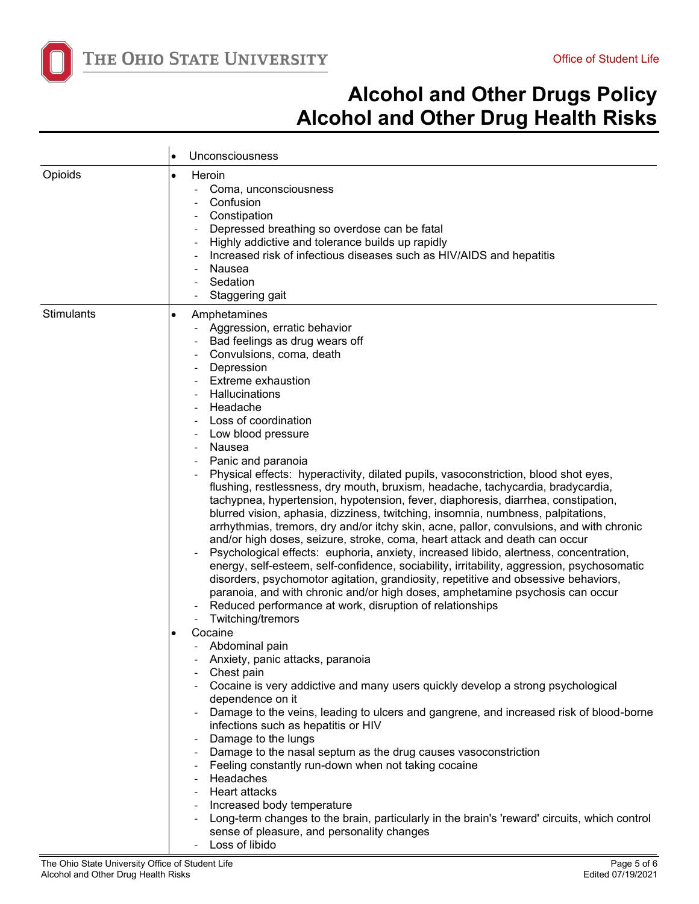

|            | Unconsciousness<br>$\bullet$                                                                                                                                                                                                                                                                                                                                                                                                                                                                                                                                                                                                                                                                                                                                                                                                                                                                                                                                                                                                                                                                                                                                                                                                                                                                                                                                                                                                                                                                                                                                                                                                                                                                                                                                                                                                                                                                                                                      |
|------------|---------------------------------------------------------------------------------------------------------------------------------------------------------------------------------------------------------------------------------------------------------------------------------------------------------------------------------------------------------------------------------------------------------------------------------------------------------------------------------------------------------------------------------------------------------------------------------------------------------------------------------------------------------------------------------------------------------------------------------------------------------------------------------------------------------------------------------------------------------------------------------------------------------------------------------------------------------------------------------------------------------------------------------------------------------------------------------------------------------------------------------------------------------------------------------------------------------------------------------------------------------------------------------------------------------------------------------------------------------------------------------------------------------------------------------------------------------------------------------------------------------------------------------------------------------------------------------------------------------------------------------------------------------------------------------------------------------------------------------------------------------------------------------------------------------------------------------------------------------------------------------------------------------------------------------------------------|
| Opioids    | Heroin<br>$\bullet$<br>Coma, unconsciousness<br>Confusion<br>Constipation<br>Depressed breathing so overdose can be fatal<br>Highly addictive and tolerance builds up rapidly<br>Increased risk of infectious diseases such as HIV/AIDS and hepatitis<br>Nausea<br>Sedation<br>Staggering gait                                                                                                                                                                                                                                                                                                                                                                                                                                                                                                                                                                                                                                                                                                                                                                                                                                                                                                                                                                                                                                                                                                                                                                                                                                                                                                                                                                                                                                                                                                                                                                                                                                                    |
| Stimulants | Amphetamines<br>$\bullet$<br>Aggression, erratic behavior<br>Bad feelings as drug wears off<br>Convulsions, coma, death<br>Depression<br><b>Extreme exhaustion</b><br>Hallucinations<br>Headache<br>Loss of coordination<br>Low blood pressure<br>- Nausea<br>Panic and paranoia<br>Physical effects: hyperactivity, dilated pupils, vasoconstriction, blood shot eyes,<br>flushing, restlessness, dry mouth, bruxism, headache, tachycardia, bradycardia,<br>tachypnea, hypertension, hypotension, fever, diaphoresis, diarrhea, constipation,<br>blurred vision, aphasia, dizziness, twitching, insomnia, numbness, palpitations,<br>arrhythmias, tremors, dry and/or itchy skin, acne, pallor, convulsions, and with chronic<br>and/or high doses, seizure, stroke, coma, heart attack and death can occur<br>Psychological effects: euphoria, anxiety, increased libido, alertness, concentration,<br>energy, self-esteem, self-confidence, sociability, irritability, aggression, psychosomatic<br>disorders, psychomotor agitation, grandiosity, repetitive and obsessive behaviors,<br>paranoia, and with chronic and/or high doses, amphetamine psychosis can occur<br>Reduced performance at work, disruption of relationships<br>Twitching/tremors<br>Cocaine<br>Abdominal pain<br>Anxiety, panic attacks, paranoia<br>Chest pain<br>Cocaine is very addictive and many users quickly develop a strong psychological<br>dependence on it<br>Damage to the veins, leading to ulcers and gangrene, and increased risk of blood-borne<br>infections such as hepatitis or HIV<br>Damage to the lungs<br>Damage to the nasal septum as the drug causes vasoconstriction<br>Feeling constantly run-down when not taking cocaine<br>- Headaches<br>- Heart attacks<br>Increased body temperature<br>Long-term changes to the brain, particularly in the brain's 'reward' circuits, which control<br>sense of pleasure, and personality changes |

- Loss of libido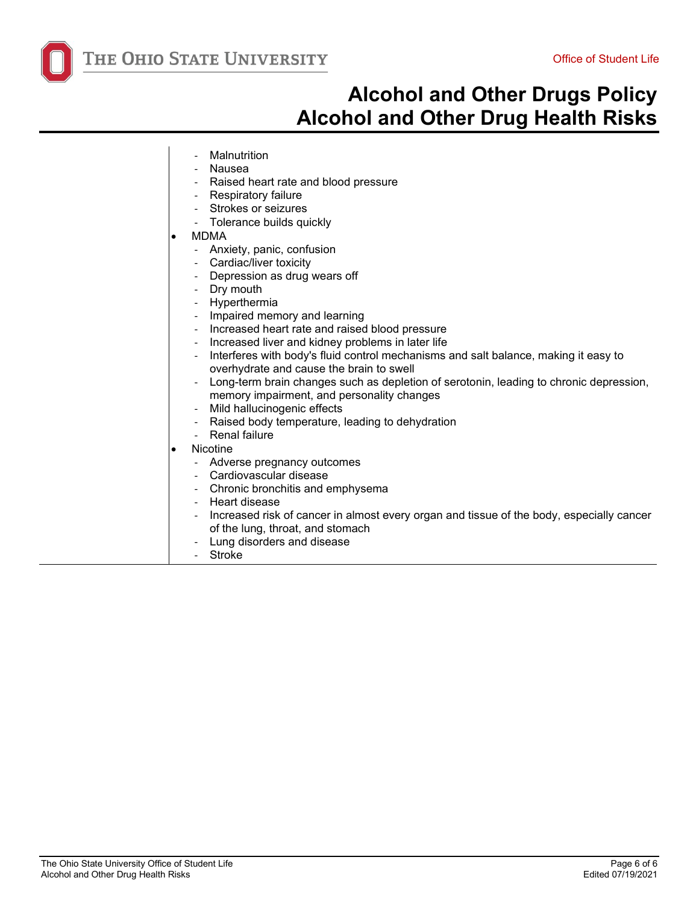

- **Malnutrition**
- **Nausea**
- Raised heart rate and blood pressure
- Respiratory failure
- Strokes or seizures
- Tolerance builds quickly
- MDMA
	- Anxiety, panic, confusion
	- Cardiac/liver toxicity
	- Depression as drug wears off
	- Dry mouth
	- Hyperthermia
	- Impaired memory and learning
	- Increased heart rate and raised blood pressure
	- Increased liver and kidney problems in later life
	- Interferes with body's fluid control mechanisms and salt balance, making it easy to overhydrate and cause the brain to swell
	- Long-term brain changes such as depletion of serotonin, leading to chronic depression, memory impairment, and personality changes
	- Mild hallucinogenic effects
	- Raised body temperature, leading to dehydration
	- Renal failure
- Nicotine
	- Adverse pregnancy outcomes
	- Cardiovascular disease
	- Chronic bronchitis and emphysema
	- Heart disease
	- Increased risk of cancer in almost every organ and tissue of the body, especially cancer of the lung, throat, and stomach
	- Lung disorders and disease
- **Stroke**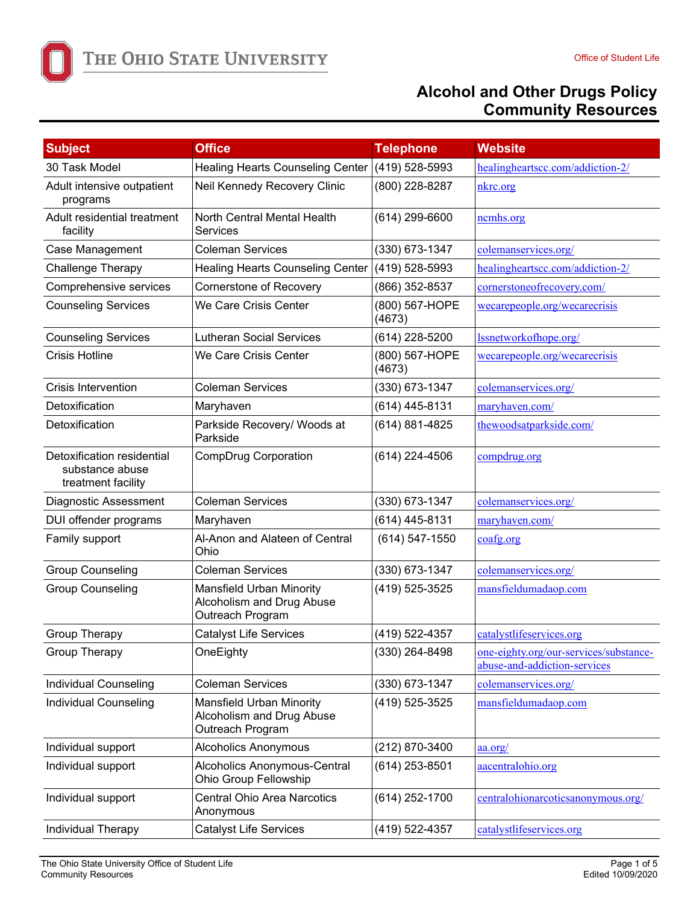THE OHIO STATE UNIVERSITY

| <b>Subject</b>                                                      | <b>Office</b>                                                             | <b>Telephone</b>         | <b>Website</b>                                                         |
|---------------------------------------------------------------------|---------------------------------------------------------------------------|--------------------------|------------------------------------------------------------------------|
| 30 Task Model                                                       | Healing Hearts Counseling Center (419) 528-5993                           |                          | healingheartscc.com/addiction-2/                                       |
| Adult intensive outpatient<br>programs                              | Neil Kennedy Recovery Clinic                                              | (800) 228-8287           | nkrc.org                                                               |
| Adult residential treatment<br>facility                             | North Central Mental Health<br>Services                                   | (614) 299-6600           | ncmhs.org                                                              |
| Case Management                                                     | <b>Coleman Services</b>                                                   | (330) 673-1347           | colemanservices.org/                                                   |
| Challenge Therapy                                                   | <b>Healing Hearts Counseling Center</b>                                   | (419) 528-5993           | healingheartscc.com/addiction-2/                                       |
| Comprehensive services                                              | Cornerstone of Recovery                                                   | (866) 352-8537           | cornerstoneofrecovery.com/                                             |
| <b>Counseling Services</b>                                          | We Care Crisis Center                                                     | (800) 567-HOPE<br>(4673) | wecarepeople.org/wecarecrisis                                          |
| <b>Counseling Services</b>                                          | <b>Lutheran Social Services</b>                                           | (614) 228-5200           | lssnetworkofhope.org/                                                  |
| <b>Crisis Hotline</b>                                               | We Care Crisis Center                                                     | (800) 567-HOPE<br>(4673) | wecarepeople.org/wecarecrisis                                          |
| <b>Crisis Intervention</b>                                          | <b>Coleman Services</b>                                                   | (330) 673-1347           | colemanservices.org/                                                   |
| Detoxification                                                      | Maryhaven                                                                 | (614) 445-8131           | maryhaven.com/                                                         |
| Detoxification                                                      | Parkside Recovery/ Woods at<br>Parkside                                   | (614) 881-4825           | thewoodsatparkside.com/                                                |
| Detoxification residential<br>substance abuse<br>treatment facility | CompDrug Corporation                                                      | (614) 224-4506           | compdrug.org                                                           |
| <b>Diagnostic Assessment</b>                                        | <b>Coleman Services</b>                                                   | (330) 673-1347           | colemanservices.org/                                                   |
| DUI offender programs                                               | Maryhaven                                                                 | (614) 445-8131           | maryhaven.com/                                                         |
| Family support                                                      | Al-Anon and Alateen of Central<br>Ohio                                    | (614) 547-1550           | coafg.org                                                              |
| <b>Group Counseling</b>                                             | <b>Coleman Services</b>                                                   | (330) 673-1347           | colemanservices.org/                                                   |
| <b>Group Counseling</b>                                             | Mansfield Urban Minority<br>Alcoholism and Drug Abuse<br>Outreach Program | (419) 525-3525           | mansfieldumadaop.com                                                   |
| <b>Group Therapy</b>                                                | <b>Catalyst Life Services</b>                                             | (419) 522-4357           | catalystlifeservices.org                                               |
| <b>Group Therapy</b>                                                | OneEighty                                                                 | (330) 264-8498           | one-eighty.org/our-services/substance-<br>abuse-and-addiction-services |
| <b>Individual Counseling</b>                                        | <b>Coleman Services</b>                                                   | (330) 673-1347           | colemanservices.org/                                                   |
| <b>Individual Counseling</b>                                        | Mansfield Urban Minority<br>Alcoholism and Drug Abuse<br>Outreach Program | (419) 525-3525           | mansfieldumadaop.com                                                   |
| Individual support                                                  | Alcoholics Anonymous                                                      | (212) 870-3400           | $a.$ org/                                                              |
| Individual support                                                  | <b>Alcoholics Anonymous-Central</b><br>Ohio Group Fellowship              | (614) 253-8501           | aacentralohio.org                                                      |
| Individual support                                                  | <b>Central Ohio Area Narcotics</b><br>Anonymous                           | (614) 252-1700           | centralohionarcoticsanonymous.org/                                     |
| Individual Therapy                                                  | <b>Catalyst Life Services</b>                                             | (419) 522-4357           | catalystlifeservices.org                                               |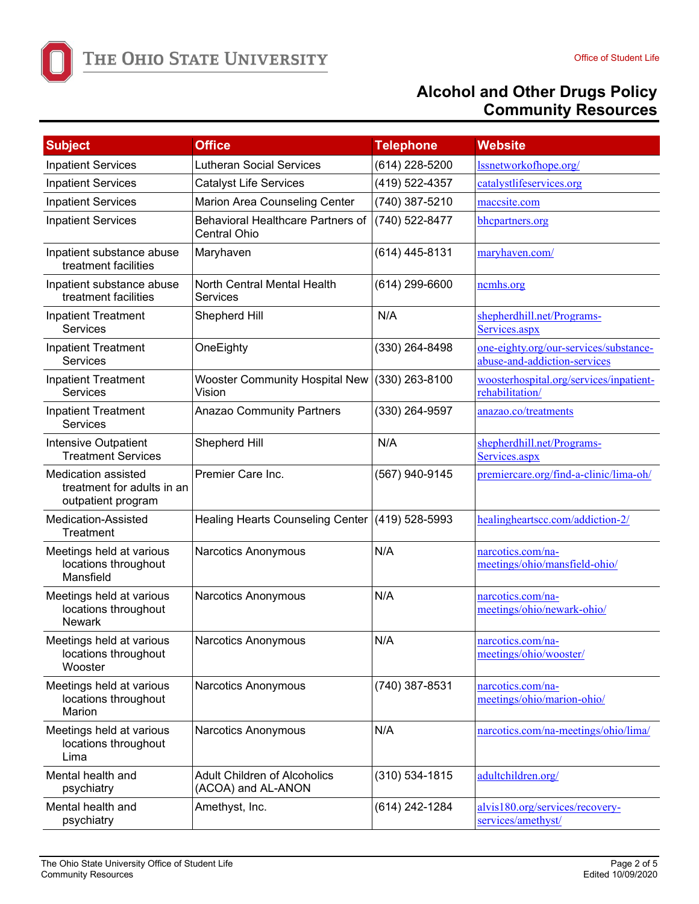THE OHIO STATE UNIVERSITY

| <b>Subject</b>                                                          | <b>Office</b>                                                   | <b>Telephone</b>   | <b>Website</b>                                                         |
|-------------------------------------------------------------------------|-----------------------------------------------------------------|--------------------|------------------------------------------------------------------------|
| <b>Inpatient Services</b>                                               | <b>Lutheran Social Services</b>                                 | (614) 228-5200     | lssnetworkofhope.org/                                                  |
| <b>Inpatient Services</b>                                               | <b>Catalyst Life Services</b>                                   | (419) 522-4357     | catalystlifeservices.org                                               |
| <b>Inpatient Services</b>                                               | Marion Area Counseling Center                                   | (740) 387-5210     | maccsite.com                                                           |
| <b>Inpatient Services</b>                                               | <b>Behavioral Healthcare Partners of</b><br><b>Central Ohio</b> | (740) 522-8477     | bhcpartners.org                                                        |
| Inpatient substance abuse<br>treatment facilities                       | Maryhaven                                                       | (614) 445-8131     | maryhaven.com/                                                         |
| Inpatient substance abuse<br>treatment facilities                       | North Central Mental Health<br>Services                         | $(614)$ 299-6600   | nemhs.org                                                              |
| <b>Inpatient Treatment</b><br><b>Services</b>                           | Shepherd Hill                                                   | N/A                | shepherdhill.net/Programs-<br>Services.aspx                            |
| <b>Inpatient Treatment</b><br>Services                                  | OneEighty                                                       | (330) 264-8498     | one-eighty.org/our-services/substance-<br>abuse-and-addiction-services |
| <b>Inpatient Treatment</b><br>Services                                  | <b>Wooster Community Hospital New</b><br>Vision                 | $(330)$ 263-8100   | woosterhospital.org/services/inpatient-<br>rehabilitation/             |
| <b>Inpatient Treatment</b><br><b>Services</b>                           | <b>Anazao Community Partners</b>                                | (330) 264-9597     | anazao.co/treatments                                                   |
| Intensive Outpatient<br><b>Treatment Services</b>                       | Shepherd Hill                                                   | N/A                | shepherdhill.net/Programs-<br>Services.aspx                            |
| Medication assisted<br>treatment for adults in an<br>outpatient program | Premier Care Inc.                                               | (567) 940-9145     | premiercare.org/find-a-clinic/lima-oh/                                 |
| <b>Medication-Assisted</b><br>Treatment                                 | Healing Hearts Counseling Center (419) 528-5993                 |                    | healingheartscc.com/addiction-2/                                       |
| Meetings held at various<br>locations throughout<br>Mansfield           | Narcotics Anonymous                                             | N/A                | narcotics.com/na-<br>meetings/ohio/mansfield-ohio/                     |
| Meetings held at various<br>locations throughout<br><b>Newark</b>       | Narcotics Anonymous                                             | N/A                | narcotics.com/na-<br>meetings/ohio/newark-ohio/                        |
| Meetings held at various<br>locations throughout<br>Wooster             | Narcotics Anonymous                                             | N/A                | narcotics.com/na-<br>meetings/ohio/wooster/                            |
| Meetings held at various<br>locations throughout<br>Marion              | Narcotics Anonymous                                             | (740) 387-8531     | narcotics.com/na-<br>meetings/ohio/marion-ohio/                        |
| Meetings held at various<br>locations throughout<br>Lima                | Narcotics Anonymous                                             | N/A                | narcotics.com/na-meetings/ohio/lima/                                   |
| Mental health and<br>psychiatry                                         | <b>Adult Children of Alcoholics</b><br>(ACOA) and AL-ANON       | $(310) 534 - 1815$ | adultchildren.org/                                                     |
| Mental health and<br>psychiatry                                         | Amethyst, Inc.                                                  | (614) 242-1284     | alvis180.org/services/recovery-<br>services/amethyst/                  |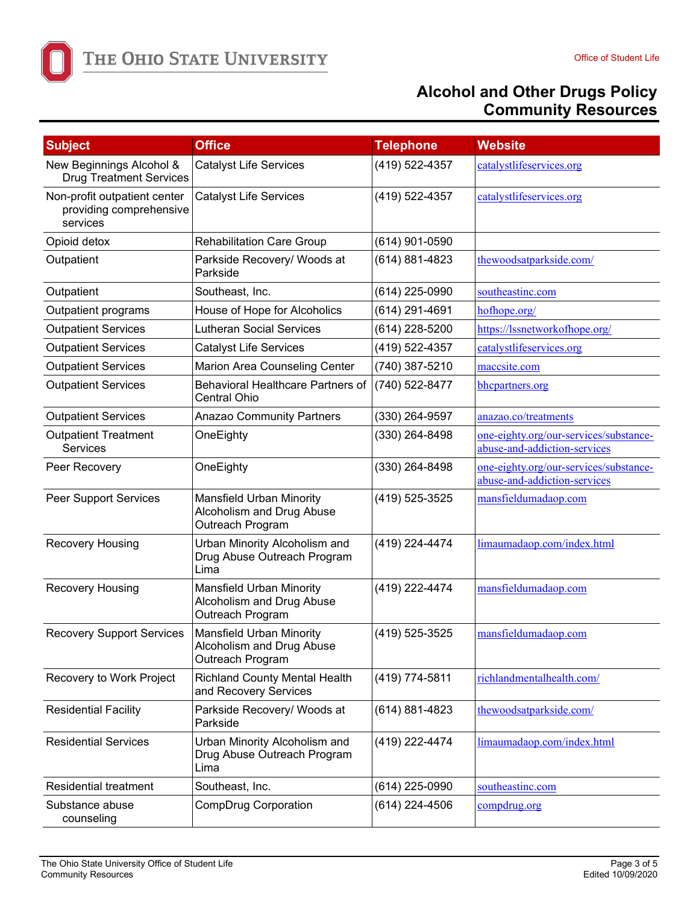

| <b>Subject</b>                                                      | <b>Office</b>                                                             | <b>Telephone</b> | <b>Website</b>                                                         |
|---------------------------------------------------------------------|---------------------------------------------------------------------------|------------------|------------------------------------------------------------------------|
| New Beginnings Alcohol &<br><b>Drug Treatment Services</b>          | <b>Catalyst Life Services</b>                                             | (419) 522-4357   | catalystlifeservices.org                                               |
| Non-profit outpatient center<br>providing comprehensive<br>services | <b>Catalyst Life Services</b>                                             | (419) 522-4357   | catalystlifeservices.org                                               |
| Opioid detox                                                        | <b>Rehabilitation Care Group</b>                                          | (614) 901-0590   |                                                                        |
| Outpatient                                                          | Parkside Recovery/ Woods at<br>Parkside                                   | (614) 881-4823   | thewoodsatparkside.com/                                                |
| Outpatient                                                          | Southeast, Inc.                                                           | (614) 225-0990   | southeastinc.com                                                       |
| Outpatient programs                                                 | House of Hope for Alcoholics                                              | (614) 291-4691   | hofhope.org/                                                           |
| <b>Outpatient Services</b>                                          | <b>Lutheran Social Services</b>                                           | (614) 228-5200   | https://lssnetworkofhope.org/                                          |
| <b>Outpatient Services</b>                                          | <b>Catalyst Life Services</b>                                             | (419) 522-4357   | catalystlifeservices.org                                               |
| <b>Outpatient Services</b>                                          | Marion Area Counseling Center                                             | (740) 387-5210   | maccsite.com                                                           |
| <b>Outpatient Services</b>                                          | Behavioral Healthcare Partners of<br><b>Central Ohio</b>                  | (740) 522-8477   | bhcpartners.org                                                        |
| <b>Outpatient Services</b>                                          | <b>Anazao Community Partners</b>                                          | (330) 264-9597   | anazao.co/treatments                                                   |
| <b>Outpatient Treatment</b><br><b>Services</b>                      | OneEighty                                                                 | (330) 264-8498   | one-eighty.org/our-services/substance-<br>abuse-and-addiction-services |
| Peer Recovery                                                       | OneEighty                                                                 | (330) 264-8498   | one-eighty.org/our-services/substance-<br>abuse-and-addiction-services |
| Peer Support Services                                               | Mansfield Urban Minority<br>Alcoholism and Drug Abuse<br>Outreach Program | (419) 525-3525   | mansfieldumadaop.com                                                   |
| <b>Recovery Housing</b>                                             | Urban Minority Alcoholism and<br>Drug Abuse Outreach Program<br>Lima      | (419) 224-4474   | limaumadaop.com/index.html                                             |
| <b>Recovery Housing</b>                                             | Mansfield Urban Minority<br>Alcoholism and Drug Abuse<br>Outreach Program | (419) 222-4474   | mansfieldumadaop.com                                                   |
| <b>Recovery Support Services</b>                                    | Mansfield Urban Minority<br>Alcoholism and Drug Abuse<br>Outreach Program | (419) 525-3525   | mansfieldumadaop.com                                                   |
| Recovery to Work Project                                            | <b>Richland County Mental Health</b><br>and Recovery Services             | (419) 774-5811   | richlandmentalhealth.com/                                              |
| <b>Residential Facility</b>                                         | Parkside Recovery/ Woods at<br>Parkside                                   | (614) 881-4823   | thewoodsatparkside.com/                                                |
| <b>Residential Services</b>                                         | Urban Minority Alcoholism and<br>Drug Abuse Outreach Program<br>Lima      | (419) 222-4474   | limaumadaop.com/index.html                                             |
| <b>Residential treatment</b>                                        | Southeast, Inc.                                                           | (614) 225-0990   | southeastinc.com                                                       |
| Substance abuse<br>counseling                                       | CompDrug Corporation                                                      | (614) 224-4506   | compdrug.org                                                           |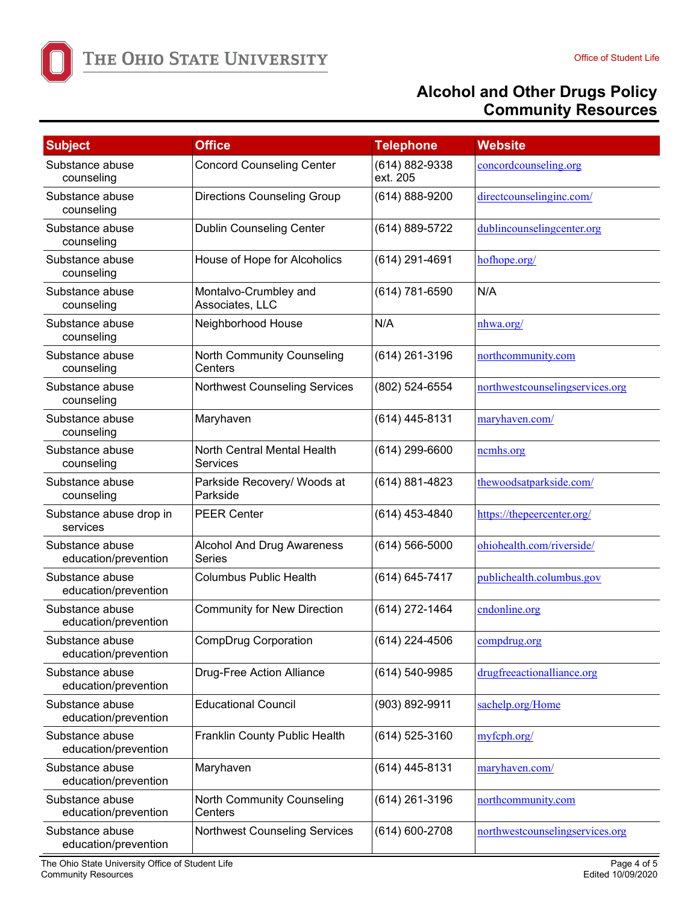

| <b>Subject</b>                          | <b>Office</b>                                      | <b>Telephone</b>           | <b>Website</b>                  |
|-----------------------------------------|----------------------------------------------------|----------------------------|---------------------------------|
| Substance abuse<br>counseling           | <b>Concord Counseling Center</b>                   | (614) 882-9338<br>ext. 205 | concordcounseling.org           |
| Substance abuse<br>counseling           | <b>Directions Counseling Group</b>                 | $(614) 888 - 9200$         | directcounselinginc.com/        |
| Substance abuse<br>counseling           | <b>Dublin Counseling Center</b>                    | (614) 889-5722             | dublincounselingcenter.org      |
| Substance abuse<br>counseling           | House of Hope for Alcoholics                       | (614) 291-4691             | hofhope.org/                    |
| Substance abuse<br>counseling           | Montalvo-Crumbley and<br>Associates, LLC           | (614) 781-6590             | N/A                             |
| Substance abuse<br>counseling           | Neighborhood House                                 | N/A                        | nhwa.org/                       |
| Substance abuse<br>counseling           | North Community Counseling<br>Centers              | (614) 261-3196             | northcommunity.com              |
| Substance abuse<br>counseling           | <b>Northwest Counseling Services</b>               | (802) 524-6554             | northwestcounselingservices.org |
| Substance abuse<br>counseling           | Maryhaven                                          | (614) 445-8131             | maryhaven.com/                  |
| Substance abuse<br>counseling           | North Central Mental Health<br>Services            | $(614)$ 299-6600           | nemhs.org                       |
| Substance abuse<br>counseling           | Parkside Recovery/ Woods at<br>Parkside            | (614) 881-4823             | thewoodsatparkside.com/         |
| Substance abuse drop in<br>services     | <b>PEER Center</b>                                 | (614) 453-4840             | https://thepeercenter.org/      |
| Substance abuse<br>education/prevention | <b>Alcohol And Drug Awareness</b><br><b>Series</b> | $(614) 566 - 5000$         | ohiohealth.com/riverside/       |
| Substance abuse<br>education/prevention | <b>Columbus Public Health</b>                      | (614) 645-7417             | publichealth.columbus.gov       |
| Substance abuse<br>education/prevention | <b>Community for New Direction</b>                 | (614) 272-1464             | cndonline.org                   |
| Substance abuse<br>education/prevention | <b>CompDrug Corporation</b>                        | $(614)$ 224-4506           | compdrug.org                    |
| Substance abuse<br>education/prevention | <b>Drug-Free Action Alliance</b>                   | (614) 540-9985             | drugfreeactionalliance.org      |
| Substance abuse<br>education/prevention | <b>Educational Council</b>                         | (903) 892-9911             | sachelp.org/Home                |
| Substance abuse<br>education/prevention | Franklin County Public Health                      | (614) 525-3160             | myfeph.org/                     |
| Substance abuse<br>education/prevention | Maryhaven                                          | (614) 445-8131             | maryhaven.com/                  |
| Substance abuse<br>education/prevention | North Community Counseling<br>Centers              | (614) 261-3196             | northcommunity.com              |
| Substance abuse<br>education/prevention | <b>Northwest Counseling Services</b>               | $(614) 600 - 2708$         | northwestcounselingservices.org |